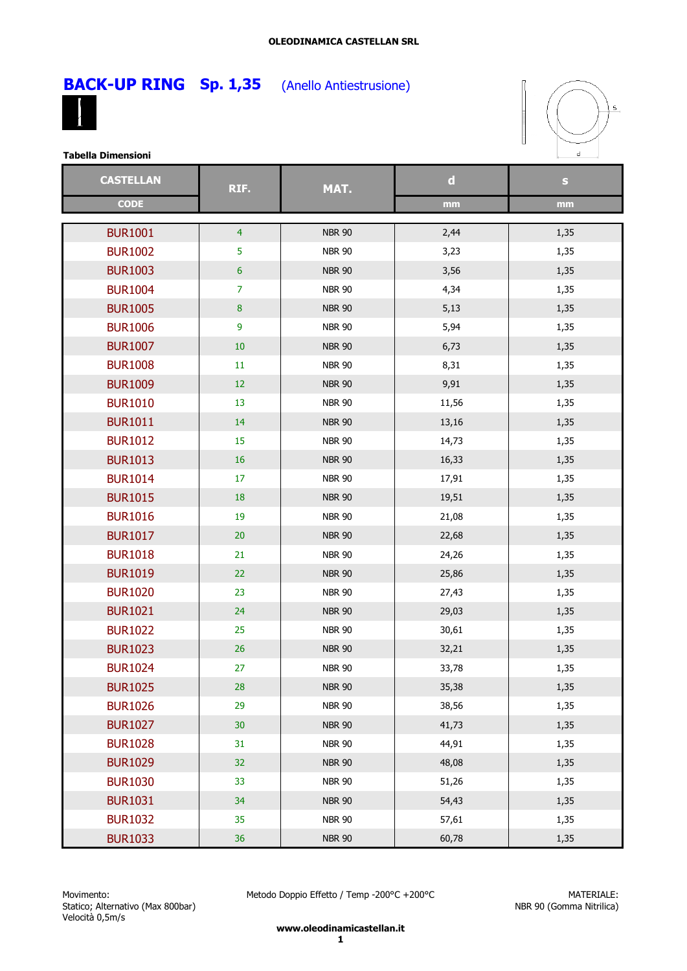# **BACK-UP RING** Sp. 1,35 (Anello Antiestrusione)

T





**Tabella Dimensioni**

| <b>CASTELLAN</b> | RIF.             | MAT.          | $\mathbf d$ | $\mathbf{s}$ |
|------------------|------------------|---------------|-------------|--------------|
| <b>CODE</b>      |                  |               | mm          | mm           |
| <b>BUR1001</b>   | $\overline{4}$   | <b>NBR 90</b> | 2,44        | 1,35         |
| <b>BUR1002</b>   | 5                | <b>NBR 90</b> | 3,23        | 1,35         |
| <b>BUR1003</b>   | $\boldsymbol{6}$ | <b>NBR 90</b> | 3,56        | 1,35         |
| <b>BUR1004</b>   | $\overline{7}$   | <b>NBR 90</b> | 4,34        | 1,35         |
| <b>BUR1005</b>   | $\bf 8$          | <b>NBR 90</b> | 5,13        | 1,35         |
| <b>BUR1006</b>   | 9                | <b>NBR 90</b> | 5,94        | 1,35         |
| <b>BUR1007</b>   | $10\,$           | <b>NBR 90</b> | 6,73        | 1,35         |
| <b>BUR1008</b>   | $11\,$           | <b>NBR 90</b> | 8,31        | 1,35         |
| <b>BUR1009</b>   | 12               | <b>NBR 90</b> | 9,91        | 1,35         |
| <b>BUR1010</b>   | 13               | <b>NBR 90</b> | 11,56       | 1,35         |
| <b>BUR1011</b>   | 14               | <b>NBR 90</b> | 13,16       | 1,35         |
| <b>BUR1012</b>   | 15               | <b>NBR 90</b> | 14,73       | 1,35         |
| <b>BUR1013</b>   | $16\,$           | <b>NBR 90</b> | 16,33       | 1,35         |
| <b>BUR1014</b>   | 17               | <b>NBR 90</b> | 17,91       | 1,35         |
| <b>BUR1015</b>   | 18               | <b>NBR 90</b> | 19,51       | 1,35         |
| <b>BUR1016</b>   | 19               | <b>NBR 90</b> | 21,08       | 1,35         |
| <b>BUR1017</b>   | 20               | <b>NBR 90</b> |             |              |
| <b>BUR1018</b>   |                  |               | 22,68       | 1,35         |
|                  | 21<br>22         | <b>NBR 90</b> | 24,26       | 1,35         |
| <b>BUR1019</b>   |                  | <b>NBR 90</b> | 25,86       | 1,35         |
| <b>BUR1020</b>   | 23               | <b>NBR 90</b> | 27,43       | 1,35         |
| <b>BUR1021</b>   | 24               | <b>NBR 90</b> | 29,03       | 1,35         |
| <b>BUR1022</b>   | 25               | <b>NBR 90</b> | 30,61       | 1,35         |
| <b>BUR1023</b>   | $26\,$           | <b>NBR 90</b> | 32,21       | 1,35         |
| <b>BUR1024</b>   | 27               | <b>NBR 90</b> | 33,78       | 1,35         |
| <b>BUR1025</b>   | 28               | <b>NBR 90</b> | 35,38       | 1,35         |
| <b>BUR1026</b>   | 29               | <b>NBR 90</b> | 38,56       | 1,35         |
| <b>BUR1027</b>   | 30 <sub>o</sub>  | <b>NBR 90</b> | 41,73       | 1,35         |
| <b>BUR1028</b>   | 31               | <b>NBR 90</b> | 44,91       | 1,35         |
| <b>BUR1029</b>   | 32               | <b>NBR 90</b> | 48,08       | 1,35         |
| <b>BUR1030</b>   | 33               | <b>NBR 90</b> | 51,26       | 1,35         |
| <b>BUR1031</b>   | 34               | <b>NBR 90</b> | 54,43       | 1,35         |
| <b>BUR1032</b>   | 35               | <b>NBR 90</b> | 57,61       | 1,35         |
| <b>BUR1033</b>   | 36               | <b>NBR 90</b> | 60,78       | 1,35         |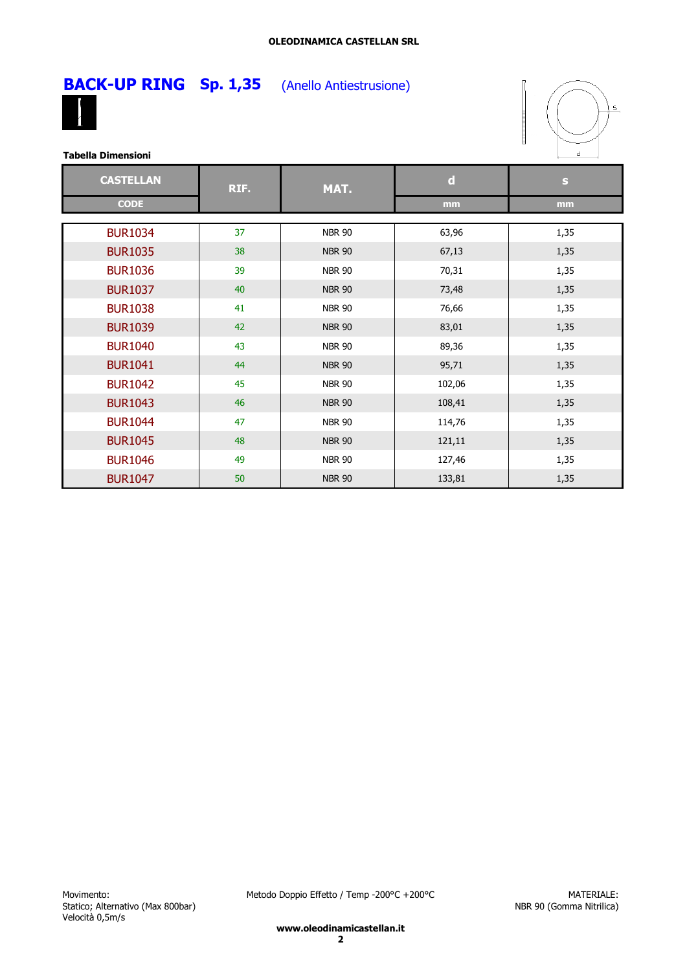



| <b>CASTELLAN</b> | RIF. | MAT.          | $\mathbf d$ | $\mathbf{s}$ |
|------------------|------|---------------|-------------|--------------|
| <b>CODE</b>      |      |               | mm          | mm           |
| <b>BUR1034</b>   | 37   | <b>NBR 90</b> | 63,96       | 1,35         |
| <b>BUR1035</b>   | 38   | <b>NBR 90</b> | 67,13       | 1,35         |
| <b>BUR1036</b>   | 39   | <b>NBR 90</b> | 70,31       | 1,35         |
| <b>BUR1037</b>   | 40   | <b>NBR 90</b> | 73,48       | 1,35         |
| <b>BUR1038</b>   | 41   | <b>NBR 90</b> | 76,66       | 1,35         |
| <b>BUR1039</b>   | 42   | <b>NBR 90</b> | 83,01       | 1,35         |
| <b>BUR1040</b>   | 43   | <b>NBR 90</b> | 89,36       | 1,35         |
| <b>BUR1041</b>   | 44   | <b>NBR 90</b> | 95,71       | 1,35         |
| <b>BUR1042</b>   | 45   | <b>NBR 90</b> | 102,06      | 1,35         |
| <b>BUR1043</b>   | 46   | <b>NBR 90</b> | 108,41      | 1,35         |
| <b>BUR1044</b>   | 47   | <b>NBR 90</b> | 114,76      | 1,35         |
| <b>BUR1045</b>   | 48   | <b>NBR 90</b> | 121,11      | 1,35         |
| <b>BUR1046</b>   | 49   | <b>NBR 90</b> | 127,46      | 1,35         |
| <b>BUR1047</b>   | 50   | <b>NBR 90</b> | 133,81      | 1,35         |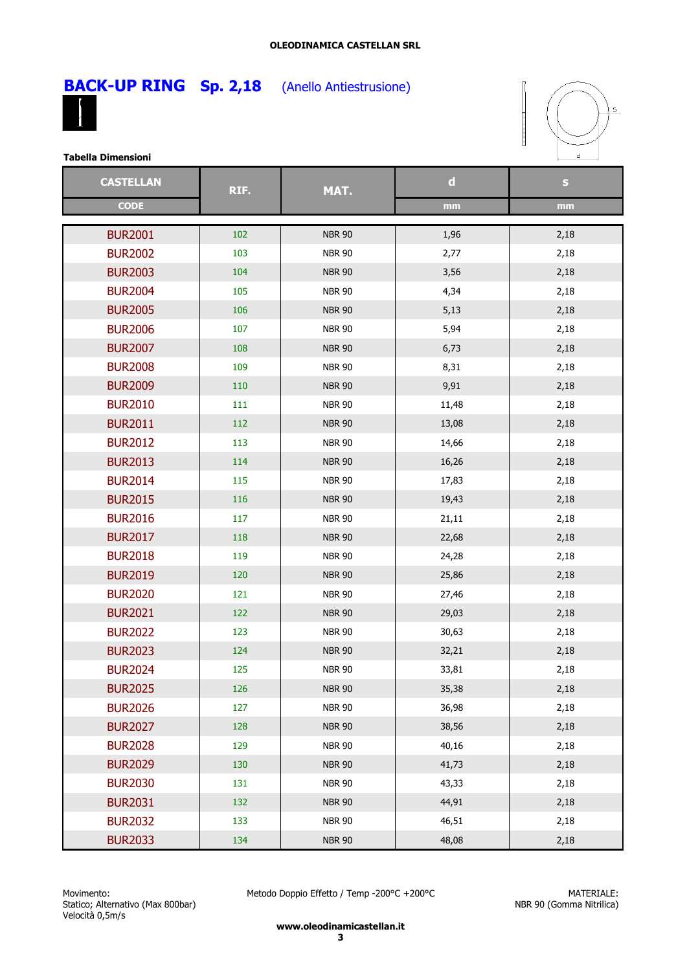



| <b>CASTELLAN</b> | RIF. | MAT.          | $\mathbf d$ | $\mathbf S$ |
|------------------|------|---------------|-------------|-------------|
| <b>CODE</b>      |      |               | mm          | mm          |
| <b>BUR2001</b>   | 102  | <b>NBR 90</b> | 1,96        | 2,18        |
| <b>BUR2002</b>   | 103  | <b>NBR 90</b> | 2,77        | 2,18        |
| <b>BUR2003</b>   | 104  | <b>NBR 90</b> | 3,56        | 2,18        |
| <b>BUR2004</b>   | 105  | <b>NBR 90</b> | 4,34        | 2,18        |
| <b>BUR2005</b>   | 106  | <b>NBR 90</b> | 5,13        | 2,18        |
| <b>BUR2006</b>   | 107  | <b>NBR 90</b> | 5,94        | 2,18        |
| <b>BUR2007</b>   | 108  | <b>NBR 90</b> | 6,73        | 2,18        |
| <b>BUR2008</b>   | 109  | <b>NBR 90</b> | 8,31        | 2,18        |
| <b>BUR2009</b>   | 110  | <b>NBR 90</b> | 9,91        | 2,18        |
| <b>BUR2010</b>   | 111  | <b>NBR 90</b> | 11,48       | 2,18        |
| <b>BUR2011</b>   | 112  | <b>NBR 90</b> | 13,08       | 2,18        |
| <b>BUR2012</b>   | 113  | <b>NBR 90</b> | 14,66       | 2,18        |
| <b>BUR2013</b>   | 114  | <b>NBR 90</b> | 16,26       | 2,18        |
| <b>BUR2014</b>   | 115  | <b>NBR 90</b> | 17,83       | 2,18        |
| <b>BUR2015</b>   | 116  | <b>NBR 90</b> | 19,43       | 2,18        |
| <b>BUR2016</b>   | 117  | <b>NBR 90</b> | 21,11       | 2,18        |
| <b>BUR2017</b>   | 118  | <b>NBR 90</b> | 22,68       | 2,18        |
| <b>BUR2018</b>   | 119  | <b>NBR 90</b> | 24,28       | 2,18        |
| <b>BUR2019</b>   | 120  | <b>NBR 90</b> | 25,86       | 2,18        |
| <b>BUR2020</b>   | 121  | <b>NBR 90</b> | 27,46       | 2,18        |
| <b>BUR2021</b>   | 122  | <b>NBR 90</b> | 29,03       | 2,18        |
| <b>BUR2022</b>   | 123  | <b>NBR 90</b> | 30,63       | 2,18        |
| <b>BUR2023</b>   | 124  | <b>NBR 90</b> | 32,21       | 2,18        |
| <b>BUR2024</b>   | 125  | <b>NBR 90</b> | 33,81       | 2,18        |
| <b>BUR2025</b>   | 126  | <b>NBR 90</b> | 35,38       | 2,18        |
| <b>BUR2026</b>   | 127  | <b>NBR 90</b> | 36,98       | 2,18        |
| <b>BUR2027</b>   | 128  | <b>NBR 90</b> | 38,56       | 2,18        |
| <b>BUR2028</b>   | 129  | <b>NBR 90</b> | 40,16       | 2,18        |
| <b>BUR2029</b>   | 130  | <b>NBR 90</b> | 41,73       | 2,18        |
| <b>BUR2030</b>   | 131  | <b>NBR 90</b> | 43,33       | 2,18        |
| <b>BUR2031</b>   | 132  | <b>NBR 90</b> | 44,91       | 2,18        |
| <b>BUR2032</b>   | 133  | <b>NBR 90</b> | 46,51       | 2,18        |
| <b>BUR2033</b>   | 134  | <b>NBR 90</b> | 48,08       | 2,18        |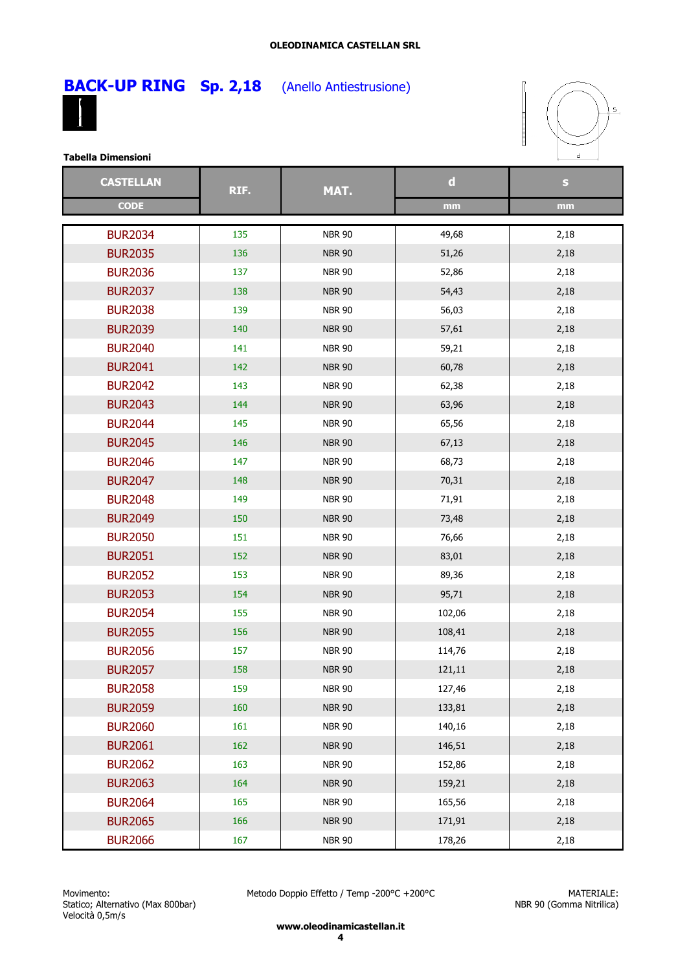

**BACK-UP RING** Sp. 2,18 (Anello Antiestrusione)



**Tabella Dimensioni**

| <b>CASTELLAN</b> | RIF. | MAT.          | $\mathbf d$ | $\mathbf{s}$ |
|------------------|------|---------------|-------------|--------------|
| <b>CODE</b>      |      |               | mm          | mm           |
| <b>BUR2034</b>   | 135  | <b>NBR 90</b> | 49,68       | 2,18         |
| <b>BUR2035</b>   | 136  | <b>NBR 90</b> | 51,26       | 2,18         |
| <b>BUR2036</b>   | 137  | <b>NBR 90</b> | 52,86       | 2,18         |
| <b>BUR2037</b>   | 138  | <b>NBR 90</b> | 54,43       | 2,18         |
| <b>BUR2038</b>   | 139  | <b>NBR 90</b> | 56,03       | 2,18         |
| <b>BUR2039</b>   | 140  | <b>NBR 90</b> | 57,61       | 2,18         |
| <b>BUR2040</b>   | 141  | <b>NBR 90</b> | 59,21       | 2,18         |
| <b>BUR2041</b>   | 142  | <b>NBR 90</b> | 60,78       | 2,18         |
| <b>BUR2042</b>   | 143  | <b>NBR 90</b> | 62,38       | 2,18         |
| <b>BUR2043</b>   | 144  | <b>NBR 90</b> | 63,96       | 2,18         |
| <b>BUR2044</b>   | 145  | <b>NBR 90</b> | 65,56       | 2,18         |
| <b>BUR2045</b>   | 146  | <b>NBR 90</b> | 67,13       | 2,18         |
| <b>BUR2046</b>   | 147  | <b>NBR 90</b> | 68,73       | 2,18         |
| <b>BUR2047</b>   | 148  | <b>NBR 90</b> | 70,31       | 2,18         |
| <b>BUR2048</b>   | 149  | <b>NBR 90</b> | 71,91       | 2,18         |
| <b>BUR2049</b>   | 150  | <b>NBR 90</b> | 73,48       | 2,18         |
| <b>BUR2050</b>   | 151  | <b>NBR 90</b> | 76,66       | 2,18         |
| <b>BUR2051</b>   | 152  | <b>NBR 90</b> | 83,01       | 2,18         |
| <b>BUR2052</b>   | 153  | <b>NBR 90</b> | 89,36       | 2,18         |
| <b>BUR2053</b>   | 154  | <b>NBR 90</b> | 95,71       | 2,18         |
| <b>BUR2054</b>   | 155  | <b>NBR 90</b> | 102,06      | 2,18         |
| <b>BUR2055</b>   | 156  | <b>NBR 90</b> | 108,41      | 2,18         |
| <b>BUR2056</b>   | 157  | <b>NBR 90</b> | 114,76      | 2,18         |
| <b>BUR2057</b>   | 158  | <b>NBR 90</b> | 121,11      | 2,18         |
| <b>BUR2058</b>   | 159  | <b>NBR 90</b> | 127,46      | 2,18         |
| <b>BUR2059</b>   | 160  | <b>NBR 90</b> | 133,81      | 2,18         |
| <b>BUR2060</b>   | 161  | <b>NBR 90</b> | 140,16      | 2,18         |
| <b>BUR2061</b>   | 162  | <b>NBR 90</b> | 146,51      | 2,18         |
| <b>BUR2062</b>   | 163  | <b>NBR 90</b> | 152,86      | 2,18         |
| <b>BUR2063</b>   | 164  | <b>NBR 90</b> | 159,21      | 2,18         |
| <b>BUR2064</b>   | 165  | <b>NBR 90</b> | 165,56      | 2,18         |
| <b>BUR2065</b>   | 166  | <b>NBR 90</b> | 171,91      | 2,18         |
| <b>BUR2066</b>   | 167  | <b>NBR 90</b> | 178,26      | 2,18         |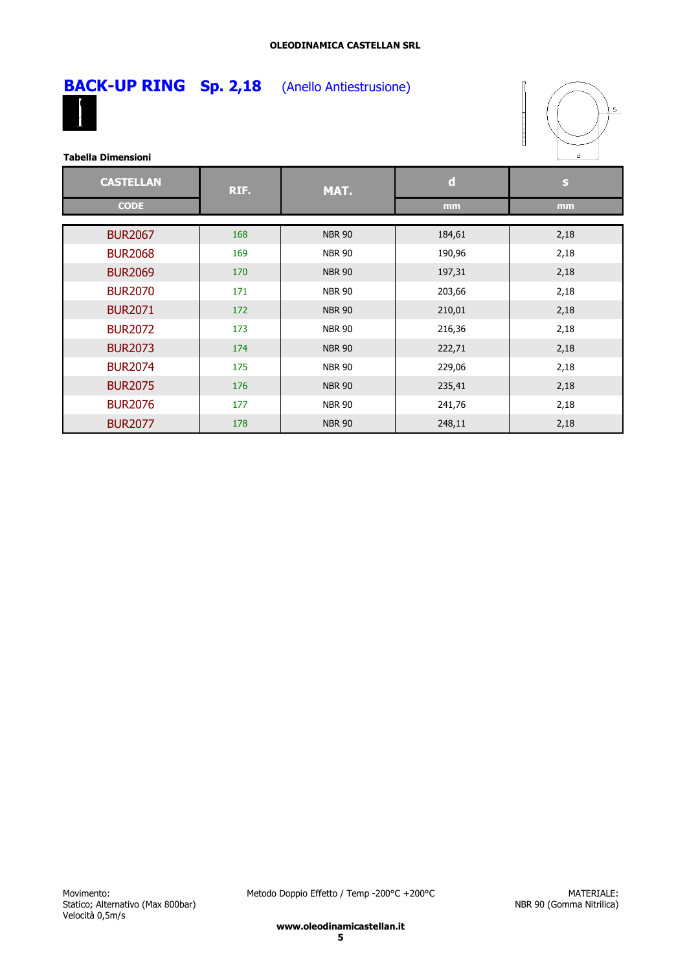

## **BACK-UP RING** Sp. 2,18 (Anello Antiestrusione)



| <b>CASTELLAN</b> | RIF. | MAT.          | $\mathbf d$ | S    |
|------------------|------|---------------|-------------|------|
| <b>CODE</b>      |      |               | mm          | mm   |
| <b>BUR2067</b>   | 168  | <b>NBR 90</b> | 184,61      | 2,18 |
| <b>BUR2068</b>   | 169  | <b>NBR 90</b> | 190,96      | 2,18 |
|                  |      |               |             |      |
| <b>BUR2069</b>   | 170  | <b>NBR 90</b> | 197,31      | 2,18 |
| <b>BUR2070</b>   | 171  | <b>NBR 90</b> | 203,66      | 2,18 |
| <b>BUR2071</b>   | 172  | <b>NBR 90</b> | 210,01      | 2,18 |
| <b>BUR2072</b>   | 173  | <b>NBR 90</b> | 216,36      | 2,18 |
| <b>BUR2073</b>   | 174  | <b>NBR 90</b> | 222,71      | 2,18 |
| <b>BUR2074</b>   | 175  | <b>NBR 90</b> | 229,06      | 2,18 |
| <b>BUR2075</b>   | 176  | <b>NBR 90</b> | 235,41      | 2,18 |
| <b>BUR2076</b>   | 177  | <b>NBR 90</b> | 241,76      | 2,18 |
| <b>BUR2077</b>   | 178  | <b>NBR 90</b> | 248,11      | 2,18 |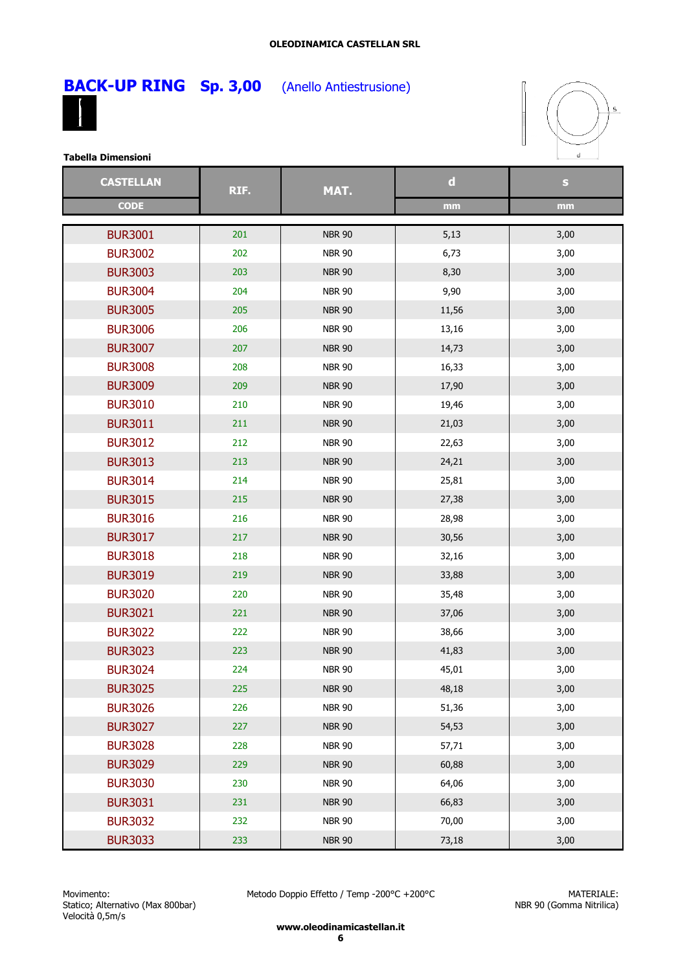

**BACK-UP RING Sp. 3,00** (Anello Antiestrusione)



**Tabella Dimensioni**

| <b>CASTELLAN</b> | RIF. | MAT.          | $\mathbf d$ | S    |
|------------------|------|---------------|-------------|------|
| <b>CODE</b>      |      |               | mm          | mm   |
| <b>BUR3001</b>   | 201  | <b>NBR 90</b> | 5,13        | 3,00 |
| <b>BUR3002</b>   | 202  | <b>NBR 90</b> | 6,73        | 3,00 |
| <b>BUR3003</b>   | 203  | <b>NBR 90</b> | 8,30        | 3,00 |
| <b>BUR3004</b>   | 204  | <b>NBR 90</b> | 9,90        | 3,00 |
| <b>BUR3005</b>   | 205  | <b>NBR 90</b> | 11,56       | 3,00 |
| <b>BUR3006</b>   | 206  | <b>NBR 90</b> | 13,16       | 3,00 |
| <b>BUR3007</b>   | 207  | <b>NBR 90</b> | 14,73       | 3,00 |
| <b>BUR3008</b>   | 208  | <b>NBR 90</b> | 16,33       | 3,00 |
| <b>BUR3009</b>   | 209  | <b>NBR 90</b> | 17,90       | 3,00 |
| <b>BUR3010</b>   | 210  | <b>NBR 90</b> | 19,46       | 3,00 |
| <b>BUR3011</b>   | 211  | <b>NBR 90</b> | 21,03       | 3,00 |
| <b>BUR3012</b>   | 212  | <b>NBR 90</b> | 22,63       | 3,00 |
| <b>BUR3013</b>   | 213  | <b>NBR 90</b> | 24,21       | 3,00 |
| <b>BUR3014</b>   | 214  | <b>NBR 90</b> | 25,81       | 3,00 |
| <b>BUR3015</b>   | 215  | <b>NBR 90</b> | 27,38       | 3,00 |
| <b>BUR3016</b>   | 216  | <b>NBR 90</b> | 28,98       | 3,00 |
| <b>BUR3017</b>   | 217  | <b>NBR 90</b> | 30,56       | 3,00 |
| <b>BUR3018</b>   | 218  | <b>NBR 90</b> | 32,16       | 3,00 |
| <b>BUR3019</b>   | 219  | <b>NBR 90</b> | 33,88       | 3,00 |
| <b>BUR3020</b>   | 220  | <b>NBR 90</b> | 35,48       | 3,00 |
| <b>BUR3021</b>   | 221  | <b>NBR 90</b> | 37,06       | 3,00 |
| <b>BUR3022</b>   | 222  | <b>NBR 90</b> | 38,66       | 3,00 |
| <b>BUR3023</b>   | 223  | <b>NBR 90</b> | 41,83       | 3,00 |
| <b>BUR3024</b>   | 224  | <b>NBR 90</b> | 45,01       | 3,00 |
| <b>BUR3025</b>   | 225  | <b>NBR 90</b> | 48,18       | 3,00 |
| <b>BUR3026</b>   | 226  | <b>NBR 90</b> | 51,36       | 3,00 |
| <b>BUR3027</b>   | 227  | <b>NBR 90</b> | 54,53       | 3,00 |
| <b>BUR3028</b>   | 228  | <b>NBR 90</b> | 57,71       | 3,00 |
| <b>BUR3029</b>   | 229  | <b>NBR 90</b> | 60,88       | 3,00 |
| <b>BUR3030</b>   | 230  | <b>NBR 90</b> | 64,06       | 3,00 |
| <b>BUR3031</b>   | 231  | <b>NBR 90</b> | 66,83       | 3,00 |
| <b>BUR3032</b>   | 232  | <b>NBR 90</b> | 70,00       | 3,00 |
| <b>BUR3033</b>   | 233  | <b>NBR 90</b> | 73,18       | 3,00 |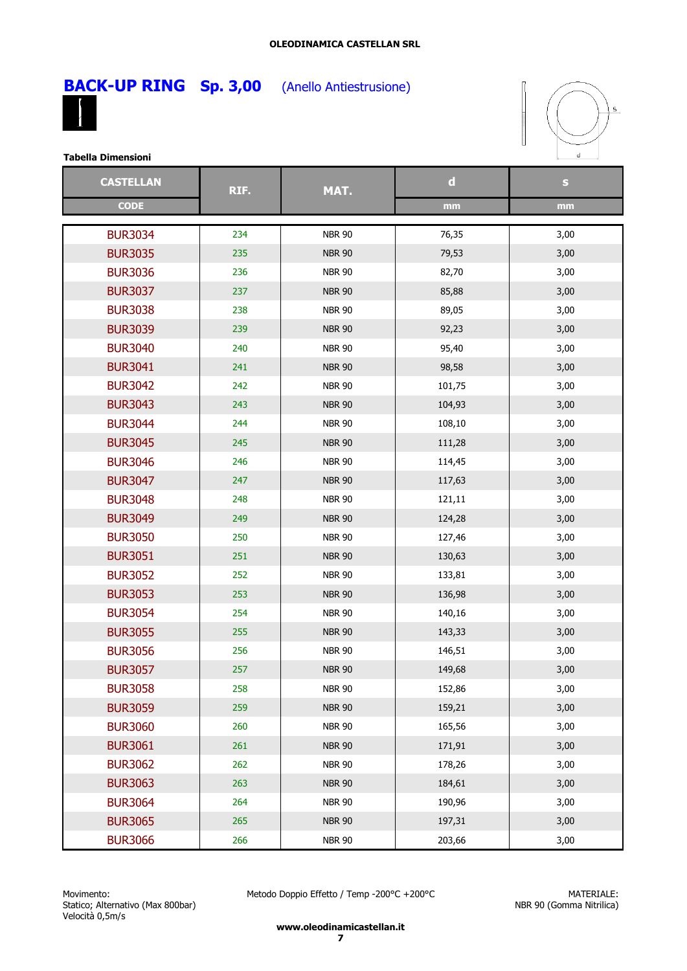

**BACK-UP RING Sp. 3,00** (Anello Antiestrusione)



#### **Tabella Dimensioni**

| <b>CASTELLAN</b> | RIF. | MAT.          | $\mathbf d$ | ${\bf S}$ |
|------------------|------|---------------|-------------|-----------|
| <b>CODE</b>      |      |               | mm          | mm        |
| <b>BUR3034</b>   | 234  | <b>NBR 90</b> | 76,35       | 3,00      |
| <b>BUR3035</b>   | 235  | <b>NBR 90</b> | 79,53       | 3,00      |
| <b>BUR3036</b>   | 236  | <b>NBR 90</b> | 82,70       | 3,00      |
| <b>BUR3037</b>   | 237  | <b>NBR 90</b> | 85,88       | 3,00      |
| <b>BUR3038</b>   | 238  | <b>NBR 90</b> | 89,05       | 3,00      |
| <b>BUR3039</b>   | 239  | <b>NBR 90</b> | 92,23       | 3,00      |
| <b>BUR3040</b>   | 240  | <b>NBR 90</b> | 95,40       | 3,00      |
| <b>BUR3041</b>   | 241  | <b>NBR 90</b> | 98,58       | 3,00      |
| <b>BUR3042</b>   | 242  | <b>NBR 90</b> | 101,75      | 3,00      |
| <b>BUR3043</b>   | 243  | <b>NBR 90</b> | 104,93      | 3,00      |
| <b>BUR3044</b>   | 244  | <b>NBR 90</b> | 108,10      | 3,00      |
| <b>BUR3045</b>   | 245  | <b>NBR 90</b> | 111,28      | 3,00      |
| <b>BUR3046</b>   | 246  | <b>NBR 90</b> | 114,45      | 3,00      |
| <b>BUR3047</b>   | 247  | <b>NBR 90</b> | 117,63      | 3,00      |
| <b>BUR3048</b>   | 248  | <b>NBR 90</b> | 121,11      | 3,00      |
| <b>BUR3049</b>   | 249  | <b>NBR 90</b> | 124,28      | 3,00      |
| <b>BUR3050</b>   | 250  | <b>NBR 90</b> | 127,46      | 3,00      |
| <b>BUR3051</b>   | 251  | <b>NBR 90</b> | 130,63      | 3,00      |
| <b>BUR3052</b>   | 252  | <b>NBR 90</b> | 133,81      | 3,00      |
| <b>BUR3053</b>   | 253  | <b>NBR 90</b> | 136,98      | 3,00      |
| <b>BUR3054</b>   | 254  | <b>NBR 90</b> | 140,16      | 3,00      |
| <b>BUR3055</b>   | 255  | <b>NBR 90</b> | 143,33      | 3,00      |
| <b>BUR3056</b>   | 256  | <b>NBR 90</b> | 146,51      | 3,00      |
| <b>BUR3057</b>   | 257  | <b>NBR 90</b> | 149,68      | 3,00      |
| <b>BUR3058</b>   | 258  | <b>NBR 90</b> | 152,86      | 3,00      |
| <b>BUR3059</b>   | 259  | <b>NBR 90</b> | 159,21      | 3,00      |
| <b>BUR3060</b>   | 260  | <b>NBR 90</b> | 165,56      | 3,00      |
| <b>BUR3061</b>   | 261  | <b>NBR 90</b> | 171,91      | 3,00      |
| <b>BUR3062</b>   | 262  | <b>NBR 90</b> | 178,26      | 3,00      |
| <b>BUR3063</b>   | 263  | <b>NBR 90</b> | 184,61      | 3,00      |
| <b>BUR3064</b>   | 264  | <b>NBR 90</b> | 190,96      | 3,00      |
| <b>BUR3065</b>   | 265  | <b>NBR 90</b> | 197,31      | 3,00      |
| <b>BUR3066</b>   | 266  | <b>NBR 90</b> | 203,66      | 3,00      |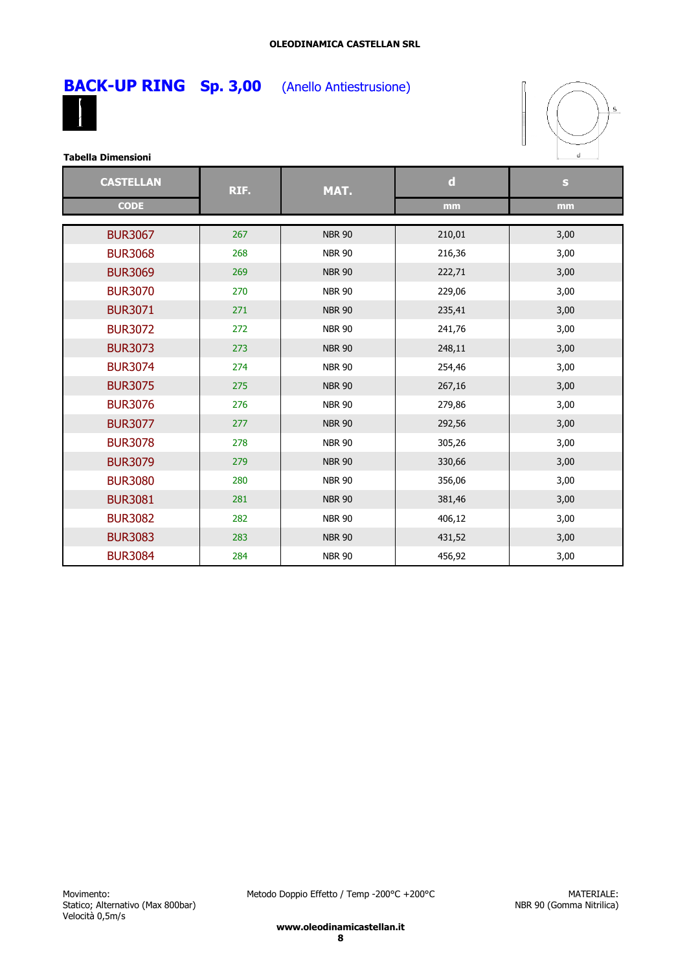

**BACK-UP RING Sp. 3,00** (Anello Antiestrusione)



| <b>CASTELLAN</b> | RIF. | MAT.          | $\mathbf d$ | S    |
|------------------|------|---------------|-------------|------|
| <b>CODE</b>      |      |               | mm          | mm   |
| <b>BUR3067</b>   | 267  | <b>NBR 90</b> | 210,01      | 3,00 |
| <b>BUR3068</b>   | 268  | <b>NBR 90</b> | 216,36      | 3,00 |
| <b>BUR3069</b>   | 269  | <b>NBR 90</b> | 222,71      | 3,00 |
| <b>BUR3070</b>   | 270  | <b>NBR 90</b> | 229,06      | 3,00 |
| <b>BUR3071</b>   | 271  | <b>NBR 90</b> | 235,41      | 3,00 |
| <b>BUR3072</b>   | 272  | <b>NBR 90</b> | 241,76      | 3,00 |
| <b>BUR3073</b>   | 273  | <b>NBR 90</b> | 248,11      | 3,00 |
| <b>BUR3074</b>   | 274  | <b>NBR 90</b> | 254,46      | 3,00 |
| <b>BUR3075</b>   | 275  | <b>NBR 90</b> | 267,16      | 3,00 |
| <b>BUR3076</b>   | 276  | <b>NBR 90</b> | 279,86      | 3,00 |
| <b>BUR3077</b>   | 277  | <b>NBR 90</b> | 292,56      | 3,00 |
| <b>BUR3078</b>   | 278  | <b>NBR 90</b> | 305,26      | 3,00 |
| <b>BUR3079</b>   | 279  | <b>NBR 90</b> | 330,66      | 3,00 |
| <b>BUR3080</b>   | 280  | <b>NBR 90</b> | 356,06      | 3,00 |
| <b>BUR3081</b>   | 281  | <b>NBR 90</b> | 381,46      | 3,00 |
| <b>BUR3082</b>   | 282  | <b>NBR 90</b> | 406,12      | 3,00 |
| <b>BUR3083</b>   | 283  | <b>NBR 90</b> | 431,52      | 3,00 |
| <b>BUR3084</b>   | 284  | <b>NBR 90</b> | 456,92      | 3,00 |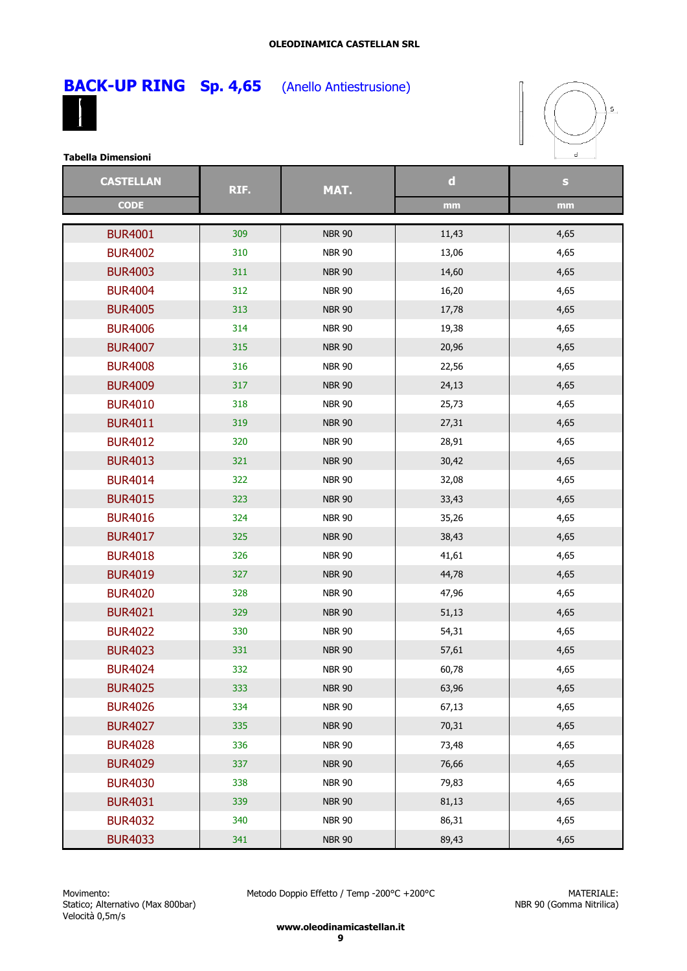### **OLEODINAMICA CASTELLAN SRL**



**Sp. 4,65** (Anello Antiestrusione)



**Tabella Dimensioni**

| <b>CASTELLAN</b> | RIF. | MAT.          | $\mathbf d$ | $\mathbf{s}$ |
|------------------|------|---------------|-------------|--------------|
| <b>CODE</b>      |      |               | mm          | mm           |
| <b>BUR4001</b>   | 309  | <b>NBR 90</b> | 11,43       | 4,65         |
|                  |      |               |             |              |
| <b>BUR4002</b>   | 310  | <b>NBR 90</b> | 13,06       | 4,65         |
| <b>BUR4003</b>   | 311  | <b>NBR 90</b> | 14,60       | 4,65         |
| <b>BUR4004</b>   | 312  | <b>NBR 90</b> | 16,20       | 4,65         |
| <b>BUR4005</b>   | 313  | <b>NBR 90</b> | 17,78       | 4,65         |
| <b>BUR4006</b>   | 314  | <b>NBR 90</b> | 19,38       | 4,65         |
| <b>BUR4007</b>   | 315  | <b>NBR 90</b> | 20,96       | 4,65         |
| <b>BUR4008</b>   | 316  | <b>NBR 90</b> | 22,56       | 4,65         |
| <b>BUR4009</b>   | 317  | <b>NBR 90</b> | 24,13       | 4,65         |
| <b>BUR4010</b>   | 318  | <b>NBR 90</b> | 25,73       | 4,65         |
| <b>BUR4011</b>   | 319  | <b>NBR 90</b> | 27,31       | 4,65         |
| <b>BUR4012</b>   | 320  | <b>NBR 90</b> | 28,91       | 4,65         |
| <b>BUR4013</b>   | 321  | <b>NBR 90</b> | 30,42       | 4,65         |
| <b>BUR4014</b>   | 322  | <b>NBR 90</b> | 32,08       | 4,65         |
| <b>BUR4015</b>   | 323  | <b>NBR 90</b> | 33,43       | 4,65         |
| <b>BUR4016</b>   | 324  | <b>NBR 90</b> | 35,26       | 4,65         |
| <b>BUR4017</b>   | 325  | <b>NBR 90</b> | 38,43       | 4,65         |
| <b>BUR4018</b>   | 326  | <b>NBR 90</b> | 41,61       | 4,65         |
| <b>BUR4019</b>   | 327  | <b>NBR 90</b> | 44,78       | 4,65         |
| <b>BUR4020</b>   | 328  | <b>NBR 90</b> | 47,96       | 4,65         |
| <b>BUR4021</b>   | 329  | <b>NBR 90</b> | 51,13       | 4,65         |
| <b>BUR4022</b>   | 330  | <b>NBR 90</b> | 54,31       | 4,65         |
| <b>BUR4023</b>   | 331  | <b>NBR 90</b> | 57,61       | 4,65         |
| <b>BUR4024</b>   | 332  | <b>NBR 90</b> | 60,78       | 4,65         |
| <b>BUR4025</b>   | 333  | <b>NBR 90</b> | 63,96       | 4,65         |
| <b>BUR4026</b>   | 334  | <b>NBR 90</b> | 67,13       | 4,65         |
| <b>BUR4027</b>   | 335  | <b>NBR 90</b> | 70,31       | 4,65         |
| <b>BUR4028</b>   | 336  | <b>NBR 90</b> | 73,48       | 4,65         |
| <b>BUR4029</b>   | 337  | <b>NBR 90</b> | 76,66       | 4,65         |
| <b>BUR4030</b>   | 338  | <b>NBR 90</b> | 79,83       | 4,65         |
| <b>BUR4031</b>   | 339  | <b>NBR 90</b> | 81,13       | 4,65         |
| <b>BUR4032</b>   | 340  | <b>NBR 90</b> | 86,31       | 4,65         |
| <b>BUR4033</b>   | 341  | <b>NBR 90</b> | 89,43       | 4,65         |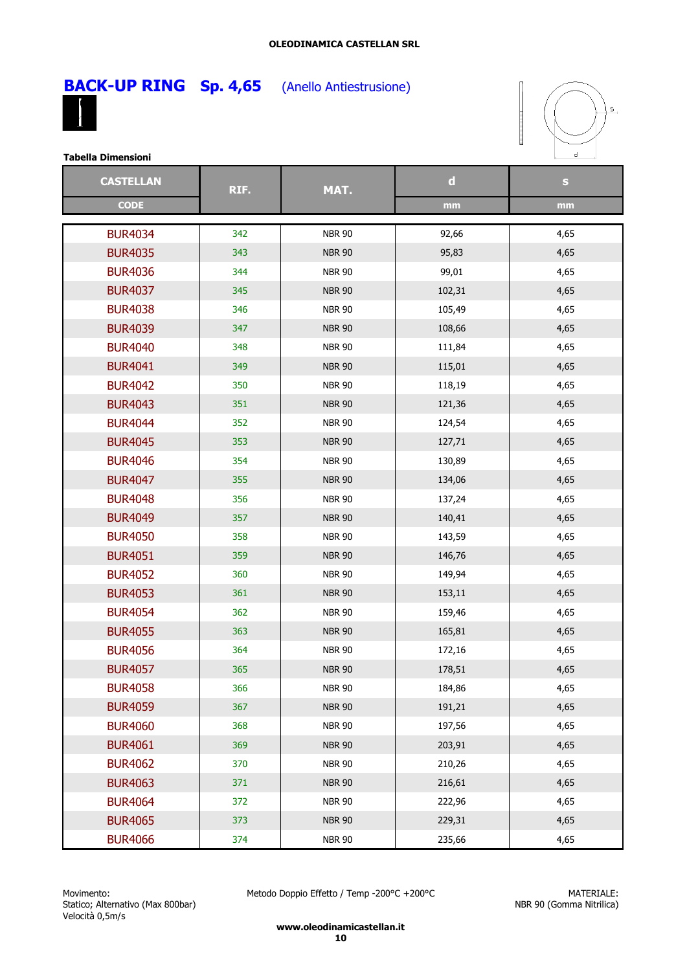### **OLEODINAMICA CASTELLAN SRL**



**Sp. 4,65** (Anello Antiestrusione)



**Tabella Dimensioni**

| <b>CASTELLAN</b> |     | MAT.<br>RIF.  | $\mathbf d$ | $\mathbf{s}$ |
|------------------|-----|---------------|-------------|--------------|
| <b>CODE</b>      |     |               | mm          | mm           |
|                  |     |               |             |              |
| <b>BUR4034</b>   | 342 | <b>NBR 90</b> | 92,66       | 4,65         |
| <b>BUR4035</b>   | 343 | <b>NBR 90</b> | 95,83       | 4,65         |
| <b>BUR4036</b>   | 344 | <b>NBR 90</b> | 99,01       | 4,65         |
| <b>BUR4037</b>   | 345 | <b>NBR 90</b> | 102,31      | 4,65         |
| <b>BUR4038</b>   | 346 | <b>NBR 90</b> | 105,49      | 4,65         |
| <b>BUR4039</b>   | 347 | <b>NBR 90</b> | 108,66      | 4,65         |
| <b>BUR4040</b>   | 348 | <b>NBR 90</b> | 111,84      | 4,65         |
| <b>BUR4041</b>   | 349 | <b>NBR 90</b> | 115,01      | 4,65         |
| <b>BUR4042</b>   | 350 | <b>NBR 90</b> | 118,19      | 4,65         |
| <b>BUR4043</b>   | 351 | <b>NBR 90</b> | 121,36      | 4,65         |
| <b>BUR4044</b>   | 352 | <b>NBR 90</b> | 124,54      | 4,65         |
| <b>BUR4045</b>   | 353 | <b>NBR 90</b> | 127,71      | 4,65         |
| <b>BUR4046</b>   | 354 | <b>NBR 90</b> | 130,89      | 4,65         |
| <b>BUR4047</b>   | 355 | <b>NBR 90</b> | 134,06      | 4,65         |
| <b>BUR4048</b>   | 356 | <b>NBR 90</b> | 137,24      | 4,65         |
| <b>BUR4049</b>   | 357 | <b>NBR 90</b> | 140,41      | 4,65         |
| <b>BUR4050</b>   | 358 | <b>NBR 90</b> | 143,59      | 4,65         |
| <b>BUR4051</b>   | 359 | <b>NBR 90</b> | 146,76      | 4,65         |
| <b>BUR4052</b>   | 360 | <b>NBR 90</b> | 149,94      | 4,65         |
| <b>BUR4053</b>   | 361 | <b>NBR 90</b> | 153,11      | 4,65         |
| <b>BUR4054</b>   | 362 | <b>NBR 90</b> | 159,46      | 4,65         |
| <b>BUR4055</b>   | 363 | <b>NBR 90</b> | 165,81      | 4,65         |
| <b>BUR4056</b>   | 364 | <b>NBR 90</b> | 172,16      | 4,65         |
| <b>BUR4057</b>   | 365 | <b>NBR 90</b> | 178,51      | 4,65         |
| <b>BUR4058</b>   | 366 | <b>NBR 90</b> | 184,86      | 4,65         |
| <b>BUR4059</b>   | 367 | <b>NBR 90</b> | 191,21      | 4,65         |
| <b>BUR4060</b>   | 368 | <b>NBR 90</b> | 197,56      | 4,65         |
| <b>BUR4061</b>   | 369 | <b>NBR 90</b> | 203,91      | 4,65         |
| <b>BUR4062</b>   | 370 | <b>NBR 90</b> | 210,26      | 4,65         |
| <b>BUR4063</b>   | 371 | <b>NBR 90</b> | 216,61      | 4,65         |
| <b>BUR4064</b>   | 372 | <b>NBR 90</b> | 222,96      | 4,65         |
| <b>BUR4065</b>   | 373 | <b>NBR 90</b> | 229,31      | 4,65         |
| <b>BUR4066</b>   | 374 | <b>NBR 90</b> | 235,66      | 4,65         |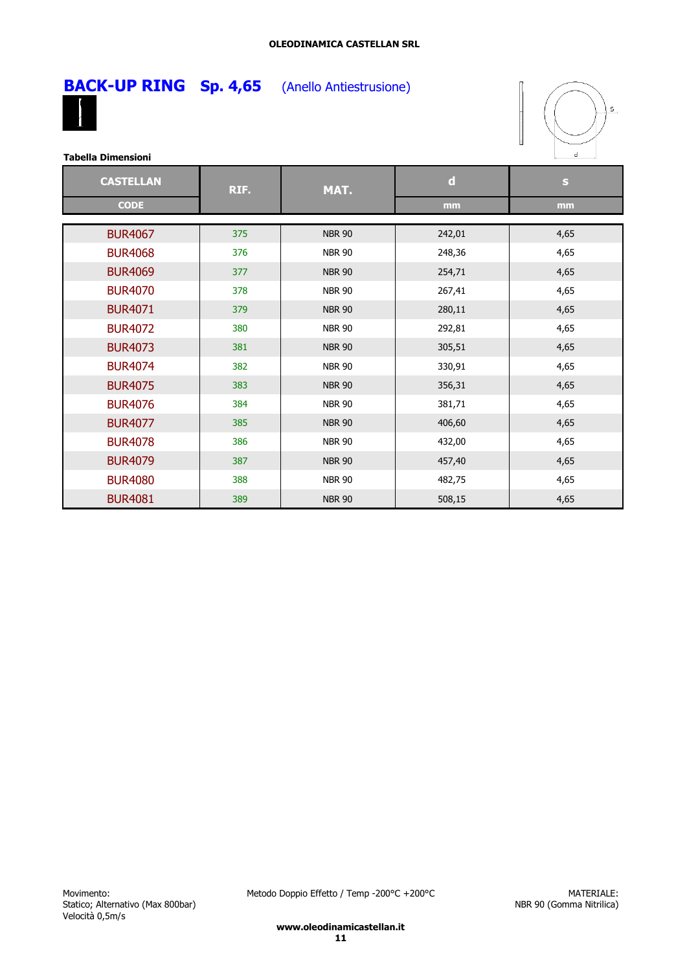### **OLEODINAMICA CASTELLAN SRL**



**Sp. 4,65** (Anello Antiestrusione)



**Tabella Dimensioni**

| <b>CASTELLAN</b> | RIF. | MAT.          | $\mathbf d$ | $\mathbf{s}$ |
|------------------|------|---------------|-------------|--------------|
| <b>CODE</b>      |      |               | mm          | mm           |
| <b>BUR4067</b>   | 375  | <b>NBR 90</b> | 242,01      | 4,65         |
| <b>BUR4068</b>   | 376  | <b>NBR 90</b> | 248,36      | 4,65         |
| <b>BUR4069</b>   | 377  | <b>NBR 90</b> | 254,71      | 4,65         |
| <b>BUR4070</b>   | 378  | <b>NBR 90</b> | 267,41      | 4,65         |
| <b>BUR4071</b>   | 379  | <b>NBR 90</b> | 280,11      | 4,65         |
| <b>BUR4072</b>   | 380  | <b>NBR 90</b> | 292,81      | 4,65         |
| <b>BUR4073</b>   | 381  | <b>NBR 90</b> | 305,51      | 4,65         |
| <b>BUR4074</b>   | 382  | <b>NBR 90</b> | 330,91      | 4,65         |
| <b>BUR4075</b>   | 383  | <b>NBR 90</b> | 356,31      | 4,65         |
| <b>BUR4076</b>   | 384  | <b>NBR 90</b> | 381,71      | 4,65         |
| <b>BUR4077</b>   | 385  | <b>NBR 90</b> | 406,60      | 4,65         |
| <b>BUR4078</b>   | 386  | <b>NBR 90</b> | 432,00      | 4,65         |
| <b>BUR4079</b>   | 387  | <b>NBR 90</b> | 457,40      | 4,65         |
| <b>BUR4080</b>   | 388  | <b>NBR 90</b> | 482,75      | 4,65         |
| <b>BUR4081</b>   | 389  | <b>NBR 90</b> | 508,15      | 4,65         |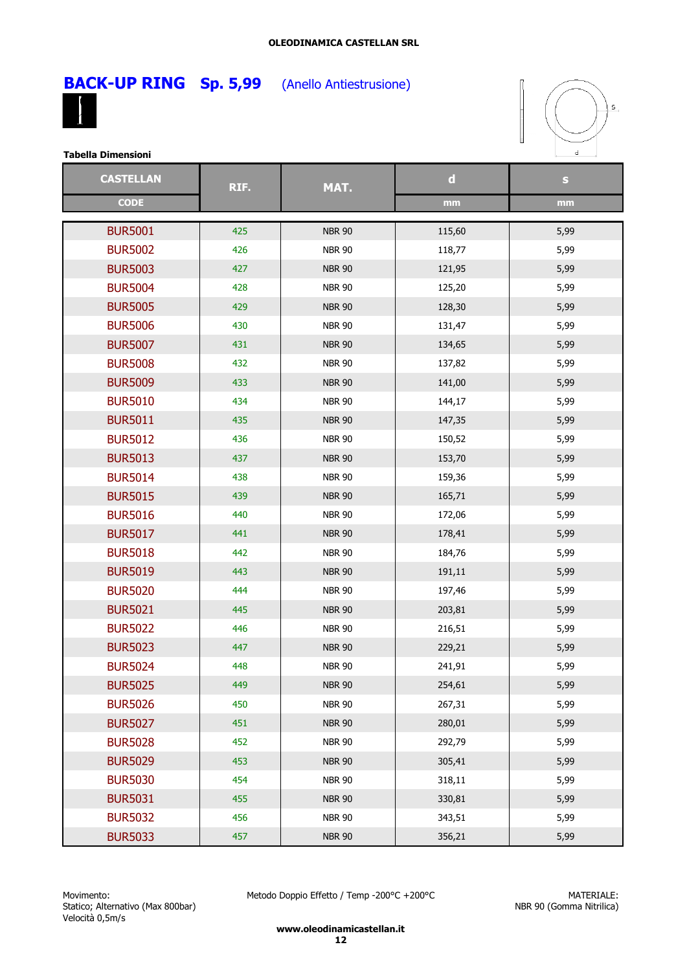





| <b>CASTELLAN</b> | RIF. | MAT.          | $\mathbf d$ | $\mathbf{s}$ |
|------------------|------|---------------|-------------|--------------|
| <b>CODE</b>      |      |               | mm          | mm           |
| <b>BUR5001</b>   | 425  | <b>NBR 90</b> | 115,60      | 5,99         |
| <b>BUR5002</b>   | 426  | <b>NBR 90</b> | 118,77      | 5,99         |
| <b>BUR5003</b>   | 427  | <b>NBR 90</b> | 121,95      | 5,99         |
| <b>BUR5004</b>   | 428  | <b>NBR 90</b> | 125,20      | 5,99         |
| <b>BUR5005</b>   | 429  | <b>NBR 90</b> | 128,30      | 5,99         |
| <b>BUR5006</b>   | 430  | <b>NBR 90</b> | 131,47      | 5,99         |
| <b>BUR5007</b>   | 431  | <b>NBR 90</b> | 134,65      | 5,99         |
| <b>BUR5008</b>   | 432  | <b>NBR 90</b> | 137,82      | 5,99         |
| <b>BUR5009</b>   | 433  | <b>NBR 90</b> | 141,00      | 5,99         |
| <b>BUR5010</b>   | 434  | <b>NBR 90</b> | 144,17      | 5,99         |
| <b>BUR5011</b>   | 435  | <b>NBR 90</b> | 147,35      | 5,99         |
| <b>BUR5012</b>   | 436  | <b>NBR 90</b> | 150,52      | 5,99         |
| <b>BUR5013</b>   | 437  | <b>NBR 90</b> | 153,70      | 5,99         |
| <b>BUR5014</b>   | 438  | <b>NBR 90</b> | 159,36      | 5,99         |
| <b>BUR5015</b>   | 439  | <b>NBR 90</b> | 165,71      | 5,99         |
| <b>BUR5016</b>   | 440  | <b>NBR 90</b> | 172,06      | 5,99         |
| <b>BUR5017</b>   | 441  | <b>NBR 90</b> | 178,41      | 5,99         |
| <b>BUR5018</b>   | 442  | <b>NBR 90</b> |             |              |
| <b>BUR5019</b>   | 443  |               | 184,76      | 5,99         |
|                  | 444  | <b>NBR 90</b> | 191,11      | 5,99         |
| <b>BUR5020</b>   |      | <b>NBR 90</b> | 197,46      | 5,99         |
| <b>BUR5021</b>   | 445  | <b>NBR 90</b> | 203,81      | 5,99         |
| <b>BUR5022</b>   | 446  | <b>NBR 90</b> | 216,51      | 5,99         |
| <b>BUR5023</b>   | 447  | <b>NBR 90</b> | 229,21      | 5,99         |
| <b>BUR5024</b>   | 448  | <b>NBR 90</b> | 241,91      | 5,99         |
| <b>BUR5025</b>   | 449  | <b>NBR 90</b> | 254,61      | 5,99         |
| <b>BUR5026</b>   | 450  | <b>NBR 90</b> | 267,31      | 5,99         |
| <b>BUR5027</b>   | 451  | <b>NBR 90</b> | 280,01      | 5,99         |
| <b>BUR5028</b>   | 452  | <b>NBR 90</b> | 292,79      | 5,99         |
| <b>BUR5029</b>   | 453  | <b>NBR 90</b> | 305,41      | 5,99         |
| <b>BUR5030</b>   | 454  | <b>NBR 90</b> | 318,11      | 5,99         |
| <b>BUR5031</b>   | 455  | <b>NBR 90</b> | 330,81      | 5,99         |
| <b>BUR5032</b>   | 456  | <b>NBR 90</b> | 343,51      | 5,99         |
| <b>BUR5033</b>   | 457  | <b>NBR 90</b> | 356,21      | 5,99         |

Metodo Doppio Effetto / Temp -200°C +200°C